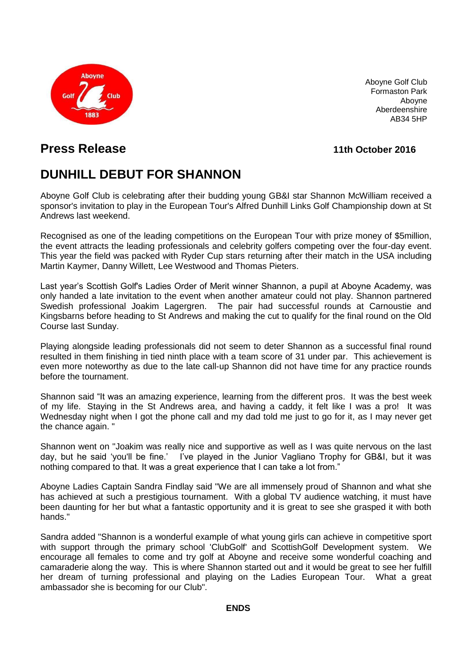

Aboyne Golf Club Formaston Park Aboyne Aberdeenshire AB34 5HP

## **Press Release 11th October 2016**

# **DUNHILL DEBUT FOR SHANNON**

Aboyne Golf Club is celebrating after their budding young GB&I star Shannon McWilliam received a sponsor's invitation to play in the European Tour's Alfred Dunhill Links Golf Championship down at St Andrews last weekend.

Recognised as one of the leading competitions on the European Tour with prize money of \$5million, the event attracts the leading professionals and celebrity golfers competing over the four-day event. This year the field was packed with Ryder Cup stars returning after their match in the USA including Martin Kaymer, Danny Willett, Lee Westwood and Thomas Pieters.

Last year's Scottish Golf's Ladies Order of Merit winner Shannon, a pupil at Aboyne Academy, was only handed a late invitation to the event when another amateur could not play. Shannon partnered Swedish professional Joakim Lagergren. The pair had successful rounds at Carnoustie and Kingsbarns before heading to St Andrews and making the cut to qualify for the final round on the Old Course last Sunday.

Playing alongside leading professionals did not seem to deter Shannon as a successful final round resulted in them finishing in tied ninth place with a team score of 31 under par. This achievement is even more noteworthy as due to the late call-up Shannon did not have time for any practice rounds before the tournament.

Shannon said "It was an amazing experience, learning from the different pros. It was the best week of my life. Staying in the St Andrews area, and having a caddy, it felt like I was a pro! It was Wednesday night when I got the phone call and my dad told me just to go for it, as I may never get the chance again. "

Shannon went on "Joakim was really nice and supportive as well as I was quite nervous on the last day, but he said 'you'll be fine.' I've played in the Junior Vagliano Trophy for GB&I, but it was nothing compared to that. It was a great experience that I can take a lot from."

Aboyne Ladies Captain Sandra Findlay said "We are all immensely proud of Shannon and what she has achieved at such a prestigious tournament. With a global TV audience watching, it must have been daunting for her but what a fantastic opportunity and it is great to see she grasped it with both hands."

Sandra added "Shannon is a wonderful example of what young girls can achieve in competitive sport with support through the primary school 'ClubGolf' and ScottishGolf Development system. We encourage all females to come and try golf at Aboyne and receive some wonderful coaching and camaraderie along the way. This is where Shannon started out and it would be great to see her fulfill her dream of turning professional and playing on the Ladies European Tour. What a great ambassador she is becoming for our Club".